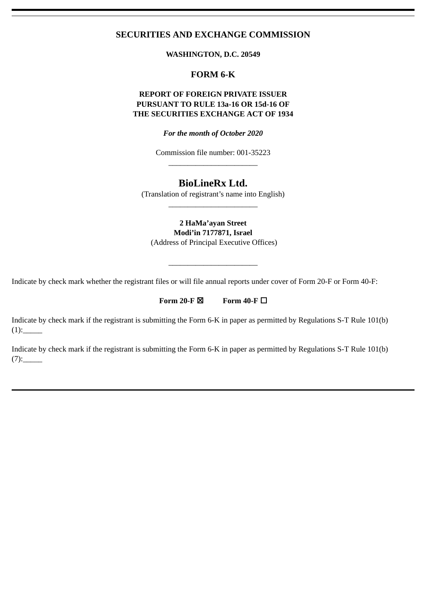# **SECURITIES AND EXCHANGE COMMISSION**

**WASHINGTON, D.C. 20549**

# **FORM 6-K**

# **REPORT OF FOREIGN PRIVATE ISSUER PURSUANT TO RULE 13a-16 OR 15d-16 OF THE SECURITIES EXCHANGE ACT OF 1934**

*For the month of October 2020*

Commission file number: 001-35223  $\frac{1}{2}$  ,  $\frac{1}{2}$  ,  $\frac{1}{2}$  ,  $\frac{1}{2}$  ,  $\frac{1}{2}$  ,  $\frac{1}{2}$  ,  $\frac{1}{2}$  ,  $\frac{1}{2}$  ,  $\frac{1}{2}$  ,  $\frac{1}{2}$  ,  $\frac{1}{2}$  ,  $\frac{1}{2}$  ,  $\frac{1}{2}$  ,  $\frac{1}{2}$  ,  $\frac{1}{2}$  ,  $\frac{1}{2}$  ,  $\frac{1}{2}$  ,  $\frac{1}{2}$  ,  $\frac{1$ 

# **BioLineRx Ltd.**

(Translation of registrant's name into English)  $\frac{1}{2}$  ,  $\frac{1}{2}$  ,  $\frac{1}{2}$  ,  $\frac{1}{2}$  ,  $\frac{1}{2}$  ,  $\frac{1}{2}$  ,  $\frac{1}{2}$  ,  $\frac{1}{2}$  ,  $\frac{1}{2}$  ,  $\frac{1}{2}$  ,  $\frac{1}{2}$  ,  $\frac{1}{2}$  ,  $\frac{1}{2}$  ,  $\frac{1}{2}$  ,  $\frac{1}{2}$  ,  $\frac{1}{2}$  ,  $\frac{1}{2}$  ,  $\frac{1}{2}$  ,  $\frac{1$ 

**2 HaMa'ayan Street Modi'in 7177871, Israel** (Address of Principal Executive Offices)

 $\frac{1}{2}$  ,  $\frac{1}{2}$  ,  $\frac{1}{2}$  ,  $\frac{1}{2}$  ,  $\frac{1}{2}$  ,  $\frac{1}{2}$  ,  $\frac{1}{2}$  ,  $\frac{1}{2}$  ,  $\frac{1}{2}$  ,  $\frac{1}{2}$  ,  $\frac{1}{2}$  ,  $\frac{1}{2}$  ,  $\frac{1}{2}$  ,  $\frac{1}{2}$  ,  $\frac{1}{2}$  ,  $\frac{1}{2}$  ,  $\frac{1}{2}$  ,  $\frac{1}{2}$  ,  $\frac{1$ 

Indicate by check mark whether the registrant files or will file annual reports under cover of Form 20-F or Form 40-F:

Form 20-F $\boxtimes$  Form 40-F $\square$ 

Indicate by check mark if the registrant is submitting the Form 6-K in paper as permitted by Regulations S-T Rule 101(b)  $(1)$ :

Indicate by check mark if the registrant is submitting the Form 6-K in paper as permitted by Regulations S-T Rule 101(b)  $(7):$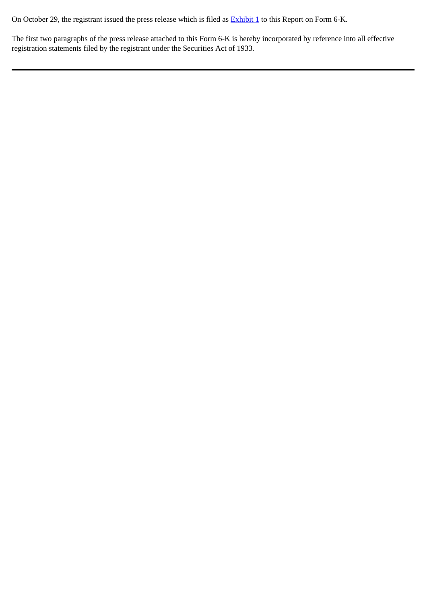On October 29, the registrant issued the press release which is filed as **Exhibit 1** to this Report on Form 6-K.

The first two paragraphs of the press release attached to this Form 6-K is hereby incorporated by reference into all effective registration statements filed by the registrant under the Securities Act of 1933.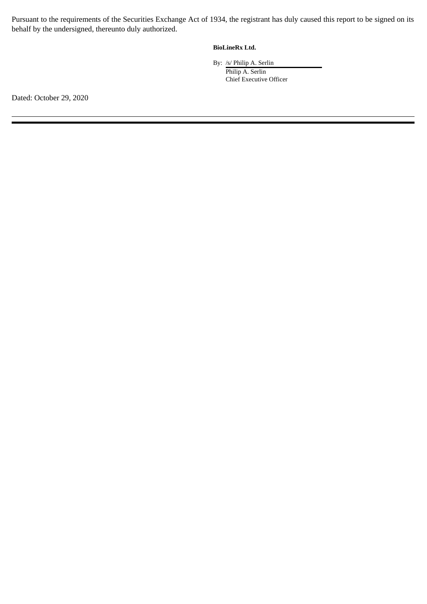Pursuant to the requirements of the Securities Exchange Act of 1934, the registrant has duly caused this report to be signed on its behalf by the undersigned, thereunto duly authorized.

## **BioLineRx Ltd.**

By: /s/ Philip A. Serlin Philip A. Serlin Chief Executive Officer

Dated: October 29, 2020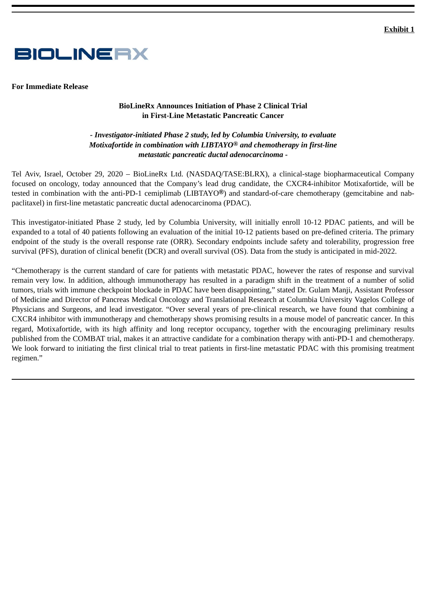<span id="page-3-0"></span>

**For Immediate Release**

### **BioLineRx Announces Initiation of Phase 2 Clinical Trial in First-Line Metastatic Pancreatic Cancer**

## *- Investigator-initiated Phase 2 study, led by Columbia University, to evaluate Motixafortide in combination with LIBTAYO***®** *and chemotherapy in first-line metastatic pancreatic ductal adenocarcinoma -*

Tel Aviv, Israel, October 29, 2020 – BioLineRx Ltd. (NASDAQ/TASE:BLRX), a clinical-stage biopharmaceutical Company focused on oncology, today announced that the Company's lead drug candidate, the CXCR4-inhibitor Motixafortide, will be tested in combination with the anti-PD-1 cemiplimab (LIBTAYO**®**) and standard-of-care chemotherapy (gemcitabine and nabpaclitaxel) in first-line metastatic pancreatic ductal adenocarcinoma (PDAC).

This investigator-initiated Phase 2 study, led by Columbia University, will initially enroll 10-12 PDAC patients, and will be expanded to a total of 40 patients following an evaluation of the initial 10-12 patients based on pre-defined criteria. The primary endpoint of the study is the overall response rate (ORR). Secondary endpoints include safety and tolerability, progression free survival (PFS), duration of clinical benefit (DCR) and overall survival (OS). Data from the study is anticipated in mid-2022.

"Chemotherapy is the current standard of care for patients with metastatic PDAC, however the rates of response and survival remain very low. In addition, although immunotherapy has resulted in a paradigm shift in the treatment of a number of solid tumors, trials with immune checkpoint blockade in PDAC have been disappointing," stated Dr. Gulam Manji, Assistant Professor of Medicine and Director of Pancreas Medical Oncology and Translational Research at Columbia University Vagelos College of Physicians and Surgeons, and lead investigator. "Over several years of pre-clinical research, we have found that combining a CXCR4 inhibitor with immunotherapy and chemotherapy shows promising results in a mouse model of pancreatic cancer. In this regard, Motixafortide, with its high affinity and long receptor occupancy, together with the encouraging preliminary results published from the COMBAT trial, makes it an attractive candidate for a combination therapy with anti-PD-1 and chemotherapy. We look forward to initiating the first clinical trial to treat patients in first-line metastatic PDAC with this promising treatment regimen."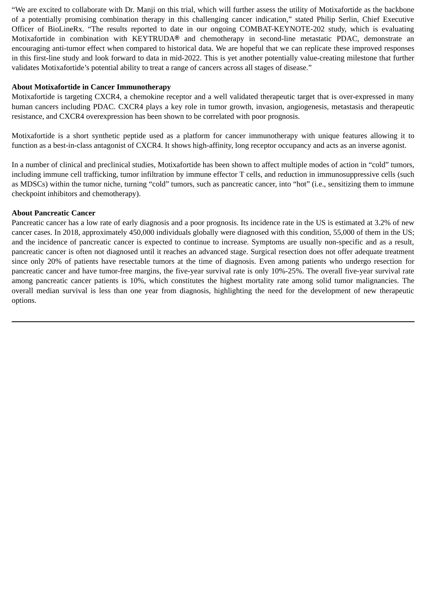"We are excited to collaborate with Dr. Manji on this trial, which will further assess the utility of Motixafortide as the backbone of a potentially promising combination therapy in this challenging cancer indication," stated Philip Serlin, Chief Executive Officer of BioLineRx. "The results reported to date in our ongoing COMBAT-KEYNOTE-202 study, which is evaluating Motixafortide in combination with KEYTRUDA**®** and chemotherapy in second-line metastatic PDAC, demonstrate an encouraging anti-tumor effect when compared to historical data. We are hopeful that we can replicate these improved responses in this first-line study and look forward to data in mid-2022. This is yet another potentially value-creating milestone that further validates Motixafortide's potential ability to treat a range of cancers across all stages of disease."

#### **About Motixafortide in Cancer Immunotherapy**

Motixafortide is targeting CXCR4, a chemokine receptor and a well validated therapeutic target that is over-expressed in many human cancers including PDAC. CXCR4 plays a key role in tumor growth, invasion, angiogenesis, metastasis and therapeutic resistance, and CXCR4 overexpression has been shown to be correlated with poor prognosis.

Motixafortide is a short synthetic peptide used as a platform for cancer immunotherapy with unique features allowing it to function as a best-in-class antagonist of CXCR4. It shows high-affinity, long receptor occupancy and acts as an inverse agonist.

In a number of clinical and preclinical studies, Motixafortide has been shown to affect multiple modes of action in "cold" tumors, including immune cell trafficking, tumor infiltration by immune effector T cells, and reduction in immunosuppressive cells (such as MDSCs) within the tumor niche, turning "cold" tumors, such as pancreatic cancer, into "hot" (i.e., sensitizing them to immune checkpoint inhibitors and chemotherapy).

#### **About Pancreatic Cancer**

Pancreatic cancer has a low rate of early diagnosis and a poor prognosis. Its incidence rate in the US is estimated at 3.2% of new cancer cases. In 2018, approximately 450,000 individuals globally were diagnosed with this condition, 55,000 of them in the US; and the incidence of pancreatic cancer is expected to continue to increase. Symptoms are usually non-specific and as a result, pancreatic cancer is often not diagnosed until it reaches an advanced stage. Surgical resection does not offer adequate treatment since only 20% of patients have resectable tumors at the time of diagnosis. Even among patients who undergo resection for pancreatic cancer and have tumor-free margins, the five-year survival rate is only 10%-25%. The overall five-year survival rate among pancreatic cancer patients is 10%, which constitutes the highest mortality rate among solid tumor malignancies. The overall median survival is less than one year from diagnosis, highlighting the need for the development of new therapeutic options.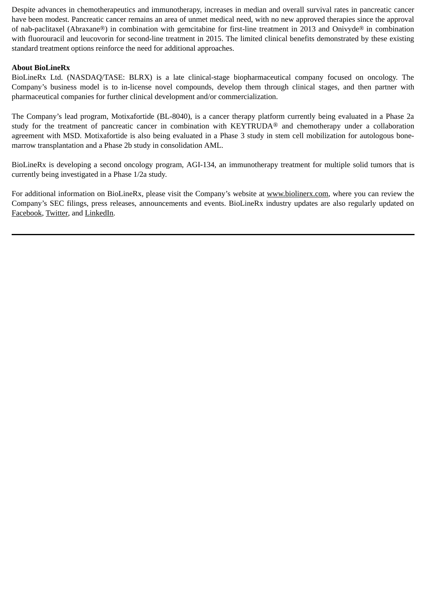Despite advances in chemotherapeutics and immunotherapy, increases in median and overall survival rates in pancreatic cancer have been modest. Pancreatic cancer remains an area of unmet medical need, with no new approved therapies since the approval of nab-paclitaxel (Abraxane®) in combination with gemcitabine for first-line treatment in 2013 and Onivyde® in combination with fluorouracil and leucovorin for second-line treatment in 2015. The limited clinical benefits demonstrated by these existing standard treatment options reinforce the need for additional approaches.

# **About BioLineRx**

BioLineRx Ltd. (NASDAQ/TASE: BLRX) is a late clinical-stage biopharmaceutical company focused on oncology. The Company's business model is to in-license novel compounds, develop them through clinical stages, and then partner with pharmaceutical companies for further clinical development and/or commercialization.

The Company's lead program, Motixafortide (BL-8040), is a cancer therapy platform currently being evaluated in a Phase 2a study for the treatment of pancreatic cancer in combination with KEYTRUDA® and chemotherapy under a collaboration agreement with MSD. Motixafortide is also being evaluated in a Phase 3 study in stem cell mobilization for autologous bonemarrow transplantation and a Phase 2b study in consolidation AML.

BioLineRx is developing a second oncology program, AGI-134, an immunotherapy treatment for multiple solid tumors that is currently being investigated in a Phase 1/2a study.

For additional information on BioLineRx, please visit the Company's website at www.biolinerx.com, where you can review the Company's SEC filings, press releases, announcements and events. BioLineRx industry updates are also regularly updated on Facebook, Twitter, and LinkedIn.